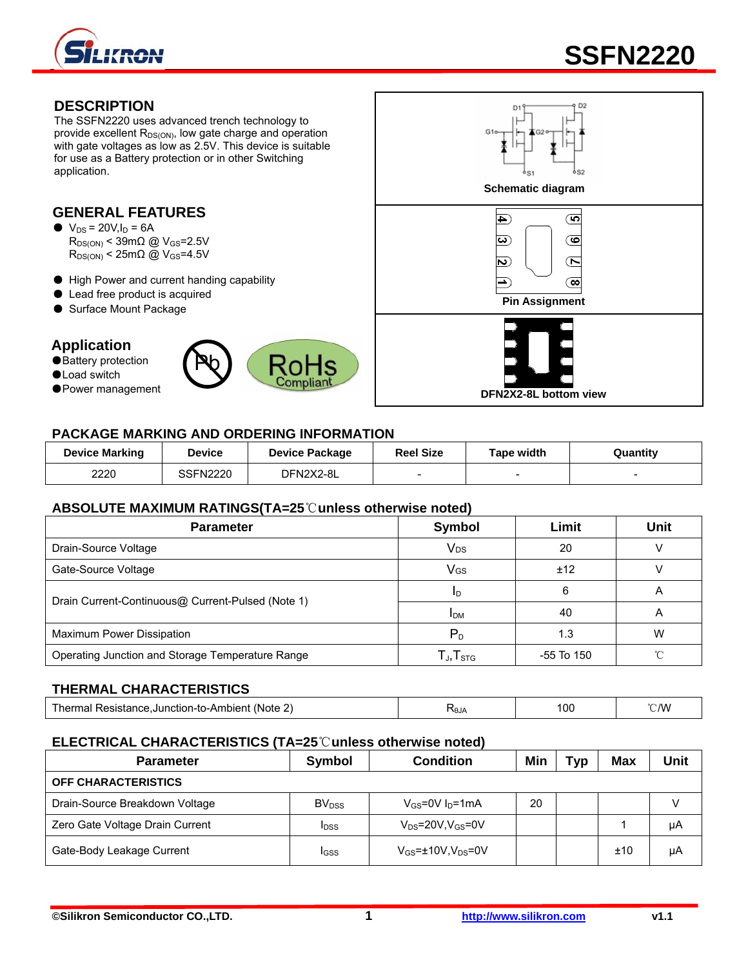

# **DESCRIPTION**

The SSFN2220 uses advanced trench technology to provide excellent  $R_{DS(ON)}$ , low gate charge and operation with gate voltages as low as 2.5V. This device is suitable for use as a Battery protection or in other Switching application.

# **GENERAL FEATURES**

- $\bullet$  V<sub>DS</sub> = 20V, I<sub>D</sub> = 6A  $R_{DS(ON)}$  < 39m $\Omega$  @ V<sub>GS</sub>=2.5V  $R_{DS(ON)}$  < 25m $\Omega$  @ V<sub>GS</sub>=4.5V
- High Power and current handing capability
- 
- 

## **Application**

- Battery protection
- ●Load switch
- 





## **PACKAGE MARKING AND ORDERING INFORMATION**

| <b>Device Marking</b> | Device          | <b>Device Package</b> | <b>Reel Size</b>         | Tape width | Quantity |
|-----------------------|-----------------|-----------------------|--------------------------|------------|----------|
| 2220                  | <b>SSFN2220</b> | DFN2X2-8L             | $\overline{\phantom{a}}$ |            |          |

#### **ABSOLUTE MAXIMUM RATINGS(TA=25**℃**unless otherwise noted)**

| <b>Parameter</b>                                  | Symbol                                                | Limit        | <b>Unit</b> |  |  |  |
|---------------------------------------------------|-------------------------------------------------------|--------------|-------------|--|--|--|
| Drain-Source Voltage                              | <b>V<sub>DS</sub></b>                                 | 20           | v           |  |  |  |
| Gate-Source Voltage                               | <b>V<sub>GS</sub></b>                                 | ±12          |             |  |  |  |
|                                                   | ID                                                    | 6            | A           |  |  |  |
| Drain Current-Continuous@ Current-Pulsed (Note 1) | <b>I</b> <sub>DM</sub>                                | 40           | A           |  |  |  |
| <b>Maximum Power Dissipation</b>                  | P <sub>D</sub>                                        | 1.3          | W           |  |  |  |
| Operating Junction and Storage Temperature Range  | ${\mathsf T}_{\mathsf J}, {\mathsf T}_{\textsf{STG}}$ | $-55$ To 150 | $\gamma$    |  |  |  |
|                                                   |                                                       |              |             |  |  |  |

## **THERMAL CHARACTERISTICS**

| Thermal Resistance.Junction-to-Ambient (Note 2) | . .<br><b>NAIA</b><br>זטי | 100 | °C/W |
|-------------------------------------------------|---------------------------|-----|------|
|-------------------------------------------------|---------------------------|-----|------|

#### **ELECTRICAL CHARACTERISTICS (TA=25**℃**unless otherwise noted)**

| <b>Parameter</b>                | Symbol                   | <b>Condition</b>             | Min | Tvp | <b>Max</b> | Unit |
|---------------------------------|--------------------------|------------------------------|-----|-----|------------|------|
| <b>OFF CHARACTERISTICS</b>      |                          |                              |     |     |            |      |
| Drain-Source Breakdown Voltage  | <b>BV</b> <sub>DSS</sub> | $V_{GS}$ =0V $I_D$ =1mA      | 20  |     |            |      |
| Zero Gate Voltage Drain Current | <b>I</b> DSS             | $V_{DS}$ =20V,V $_{GS}$ =0V  |     |     |            | uА   |
| Gate-Body Leakage Current       | IGSS                     | $V_{GS}$ =±10V, $V_{DS}$ =0V |     |     | ±10        | μA   |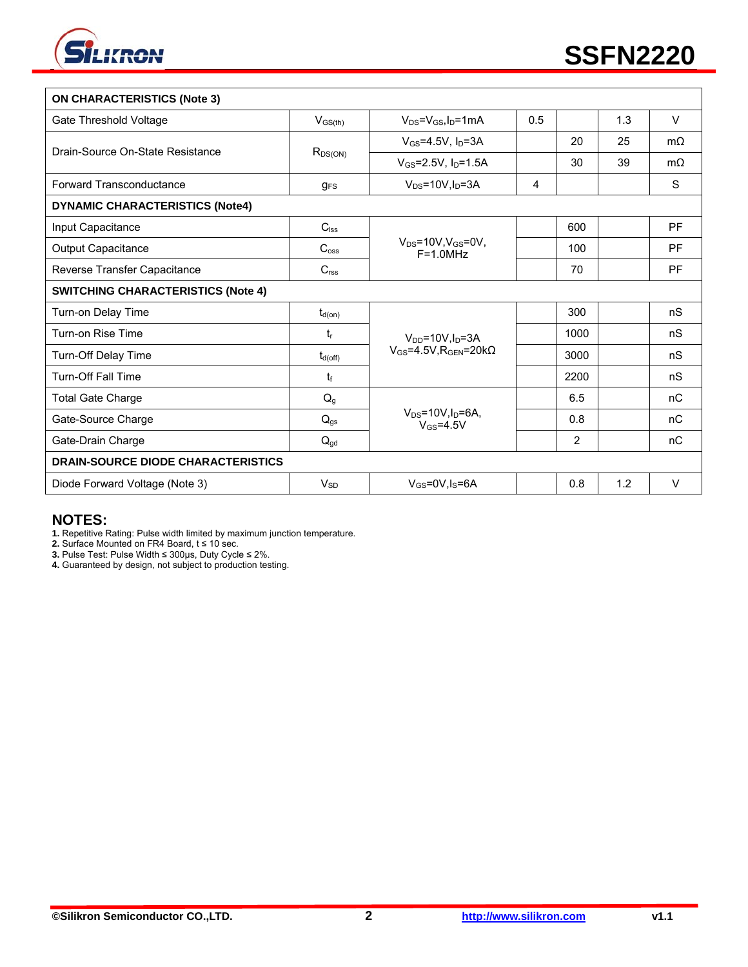

| <b>ON CHARACTERISTICS (Note 3)</b>        |                       |                                                      |     |                |     |           |
|-------------------------------------------|-----------------------|------------------------------------------------------|-----|----------------|-----|-----------|
| Gate Threshold Voltage                    | $V_{GS(th)}$          | $V_{DS} = V_{GS}I_D = 1mA$                           | 0.5 |                | 1.3 | $\vee$    |
| Drain-Source On-State Resistance          | $R_{DS(ON)}$          | $V_{GS}$ =4.5V, $I_D$ =3A                            |     | 20             | 25  | $m\Omega$ |
|                                           |                       | $V_{GS} = 2.5V$ , $I_D = 1.5A$                       |     | 30             | 39  | $m\Omega$ |
| Forward Transconductance                  | $g_{FS}$              | $V_{DS}$ =10V, $I_D$ =3A                             | 4   |                |     | S         |
| <b>DYNAMIC CHARACTERISTICS (Note4)</b>    |                       |                                                      |     |                |     |           |
| Input Capacitance                         | $C_{\text{lss}}$      |                                                      |     | 600            |     | <b>PF</b> |
| Output Capacitance                        | $C_{\rm oss}$         | $V_{DS} = 10V$ , $V_{GS} = 0V$ ,<br>$F = 1.0 MHz$    |     | 100            |     | PF        |
| Reverse Transfer Capacitance              | C <sub>rss</sub>      |                                                      |     | 70             |     | <b>PF</b> |
| <b>SWITCHING CHARACTERISTICS (Note 4)</b> |                       |                                                      |     |                |     |           |
| Turn-on Delay Time                        | $t_{d(on)}$           |                                                      |     | 300            |     | nS        |
| Turn-on Rise Time                         | $t_{\rm r}$           | $V_{DD} = 10V \cdot \text{ln} = 3A$                  |     | 1000           |     | nS        |
| Turn-Off Delay Time                       | $t_{d(\mathrm{off})}$ | $V_{GS}$ =4.5V.R $_{GEN}$ =20k $\Omega$              |     | 3000           |     | nS        |
| <b>Turn-Off Fall Time</b>                 | $t_{\rm f}$           |                                                      |     | 2200           |     | nS        |
| <b>Total Gate Charge</b>                  | $Q_g$                 |                                                      |     | 6.5            |     | nC        |
| Gate-Source Charge                        | $Q_{gs}$              | $V_{DS} = 10V, I_D = 6A,$<br>$V$ <sub>GS</sub> =4.5V |     | 0.8            |     | nC        |
| Gate-Drain Charge                         | $Q_{gd}$              |                                                      |     | $\overline{2}$ |     | nC        |
| <b>DRAIN-SOURCE DIODE CHARACTERISTICS</b> |                       |                                                      |     |                |     |           |
| Diode Forward Voltage (Note 3)            | $V_{SD}$              | $V_{GS}$ =0V, $I_S$ =6A                              |     | 0.8            | 1.2 | $\vee$    |

#### **NOTES:**

**1.** Repetitive Rating: Pulse width limited by maximum junction temperature.

**2.** Surface Mounted on FR4 Board, t ≤ 10 sec.

**3.** Pulse Test: Pulse Width ≤ 300μs, Duty Cycle ≤ 2%.

**4.** Guaranteed by design, not subject to production testing.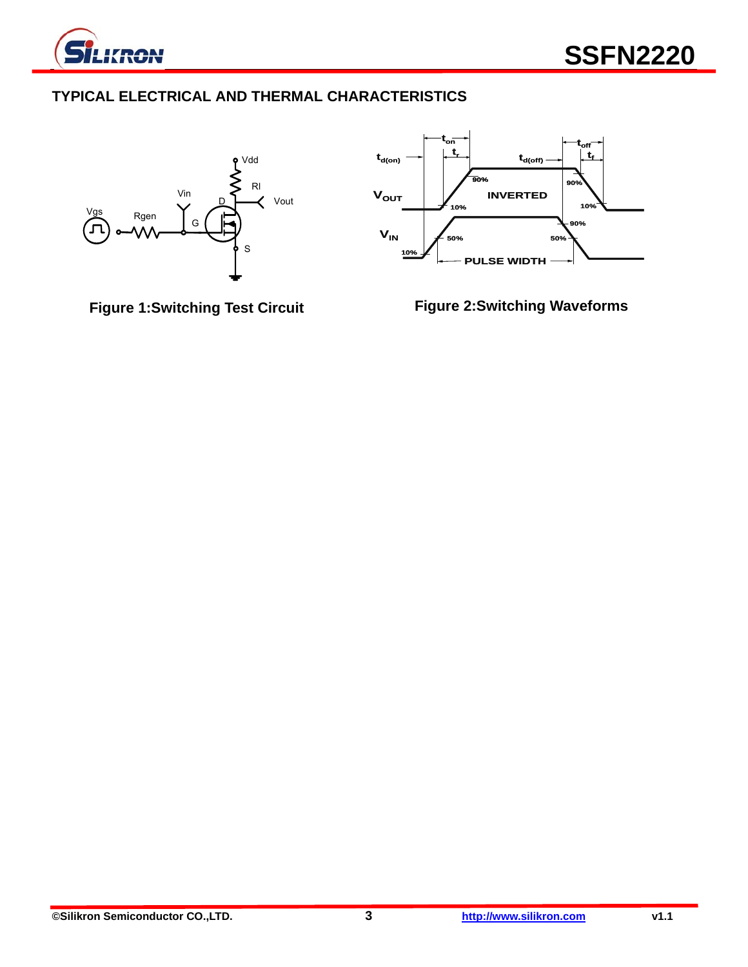

# **TYPICAL ELECTRICAL AND THERMAL CHARACTERISTICS**





**Figure 1:Switching Test Circuit** 

**Figure 2:Switching Waveforms**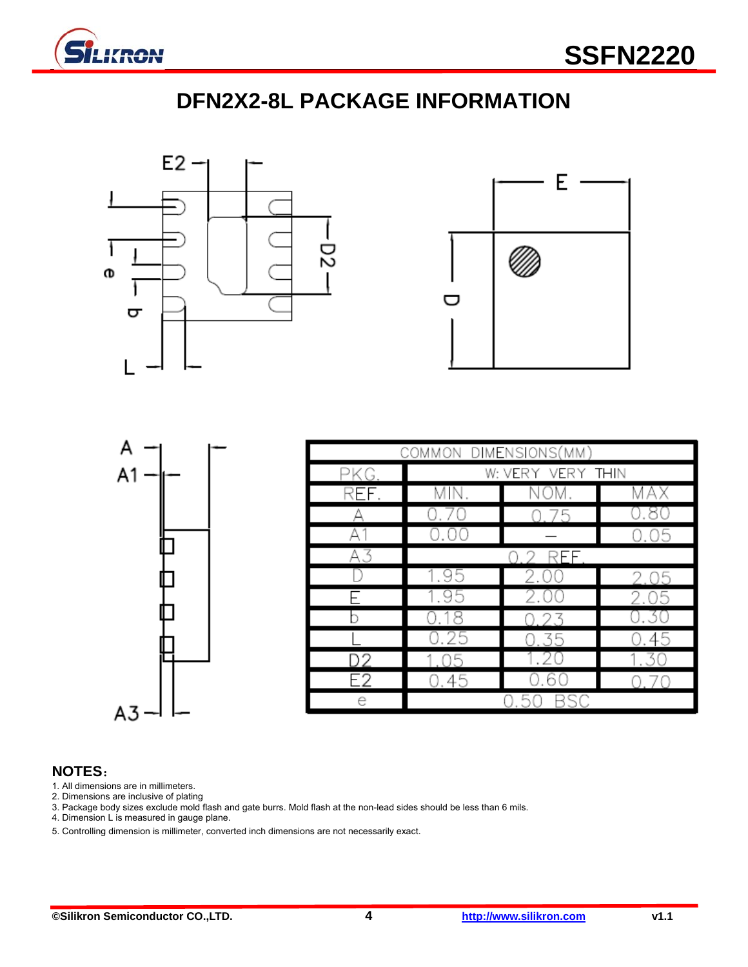

# **DFN2X2-8L PACKAGE INFORMATION**





| A<br>A1       |  |
|---------------|--|
|               |  |
|               |  |
| $\frac{1}{2}$ |  |
|               |  |
|               |  |

| COMMON DIMENSIONS(MM) |                   |           |      |  |  |
|-----------------------|-------------------|-----------|------|--|--|
| PKG.                  | W: VERY VERY THIN |           |      |  |  |
| REF.                  | MIN.              | NOM       | MAX  |  |  |
|                       |                   | 75        | 0.80 |  |  |
| А.                    | 0.00              |           | 0.05 |  |  |
| А3                    |                   | REF<br>コワ |      |  |  |
|                       | 1.95              | 2.00      | 2.05 |  |  |
|                       | 1.95              | 2.00      | 2.05 |  |  |
|                       | 0.18              |           | 0.30 |  |  |
|                       | 0.25              | 0.35      | 0.45 |  |  |
| D2                    |                   |           |      |  |  |
| E2                    | 0.45              |           |      |  |  |
| e                     |                   |           |      |  |  |

#### **NOTES**:

- 1. All dimensions are in millimeters.
- 2. Dimensions are inclusive of plating
- 3. Package body sizes exclude mold flash and gate burrs. Mold flash at the non-lead sides should be less than 6 mils.
- 4. Dimension L is measured in gauge plane.
- 5. Controlling dimension is millimeter, converted inch dimensions are not necessarily exact.